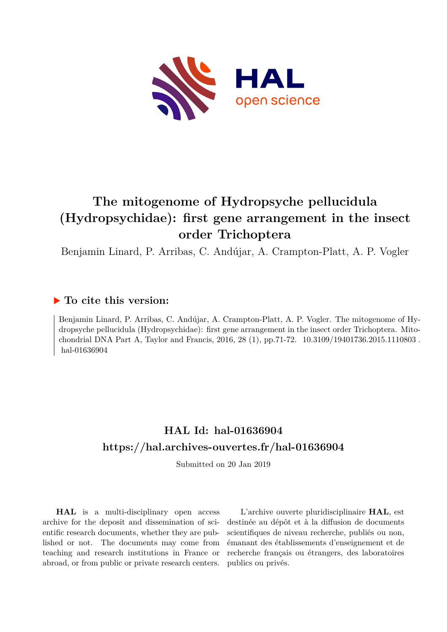

## **The mitogenome of Hydropsyche pellucidula (Hydropsychidae): first gene arrangement in the insect order Trichoptera**

Benjamin Linard, P. Arribas, C. Andújar, A. Crampton-Platt, A. P. Vogler

#### **To cite this version:**

Benjamin Linard, P. Arribas, C. Andújar, A. Crampton-Platt, A. P. Vogler. The mitogenome of Hydropsyche pellucidula (Hydropsychidae): first gene arrangement in the insect order Trichoptera. Mitochondrial DNA Part A, Taylor and Francis, 2016, 28 (1), pp.71-72.  $10.3109/19401736.2015.1110803$ . hal-01636904

### **HAL Id: hal-01636904 <https://hal.archives-ouvertes.fr/hal-01636904>**

Submitted on 20 Jan 2019

**HAL** is a multi-disciplinary open access archive for the deposit and dissemination of scientific research documents, whether they are published or not. The documents may come from teaching and research institutions in France or abroad, or from public or private research centers.

L'archive ouverte pluridisciplinaire **HAL**, est destinée au dépôt et à la diffusion de documents scientifiques de niveau recherche, publiés ou non, émanant des établissements d'enseignement et de recherche français ou étrangers, des laboratoires publics ou privés.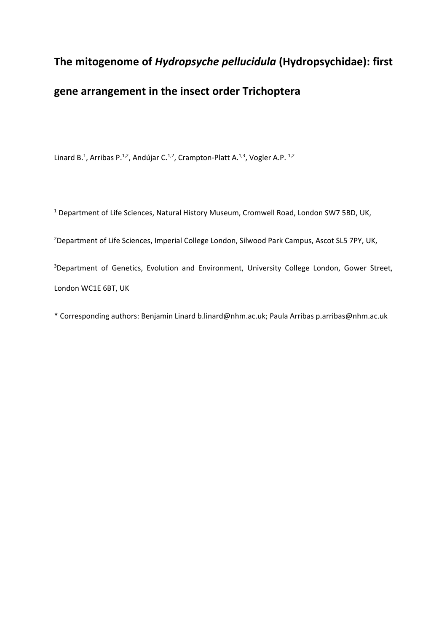# **The mitogenome of** *Hydropsyche pellucidula* **(Hydropsychidae): first gene arrangement in the insect order Trichoptera**

Linard B.<sup>1</sup>, Arribas P.<sup>1,2</sup>, Andújar C.<sup>1,2</sup>, Crampton-Platt A.<sup>1,3</sup>, Vogler A.P.<sup>1,2</sup>

<sup>1</sup> Department of Life Sciences, Natural History Museum, Cromwell Road, London SW7 5BD, UK,

<sup>2</sup>Department of Life Sciences, Imperial College London, Silwood Park Campus, Ascot SL5 7PY, UK,

<sup>3</sup>Department of Genetics, Evolution and Environment, University College London, Gower Street, London WC1E 6BT, UK

\* Corresponding authors: Benjamin Linard b.linard@nhm.ac.uk; Paula Arribas p.arribas@nhm.ac.uk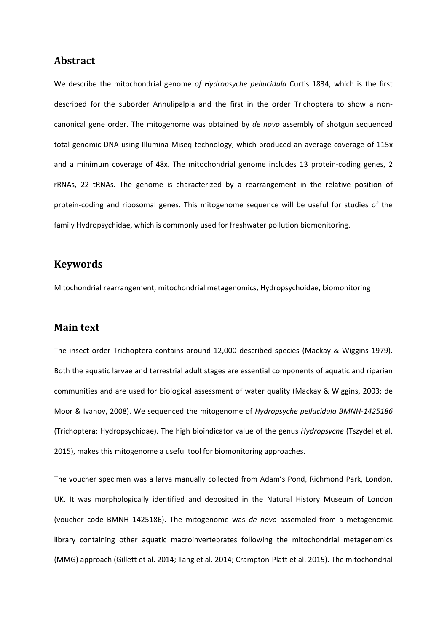#### **Abstract**

We describe the mitochondrial genome *of Hydropsyche pellucidula* Curtis 1834, which is the first described for the suborder Annulipalpia and the first in the order Trichoptera to show a noncanonical gene order. The mitogenome was obtained by *de novo* assembly of shotgun sequenced total genomic DNA using Illumina Miseq technology, which produced an average coverage of 115x and a minimum coverage of 48x. The mitochondrial genome includes 13 protein-coding genes, 2 rRNAs, 22 tRNAs. The genome is characterized by a rearrangement in the relative position of protein-coding and ribosomal genes. This mitogenome sequence will be useful for studies of the family Hydropsychidae, which is commonly used for freshwater pollution biomonitoring.

#### **Keywords**

Mitochondrial rearrangement, mitochondrial metagenomics, Hydropsychoidae, biomonitoring

#### **Main text**

The insect order Trichoptera contains around 12,000 described species (Mackay & Wiggins 1979). Both the aquatic larvae and terrestrial adult stages are essential components of aquatic and riparian communities and are used for biological assessment of water quality (Mackay & Wiggins, 2003; de Moor & Ivanov, 2008). We sequenced the mitogenome of *Hydropsyche pellucidula BMNH-1425186* (Trichoptera: Hydropsychidae). The high bioindicator value of the genus *Hydropsyche* (Tszydel et al. 2015), makes this mitogenome a useful tool for biomonitoring approaches.

The voucher specimen was a larva manually collected from Adam's Pond, Richmond Park, London, UK. It was morphologically identified and deposited in the Natural History Museum of London (voucher code BMNH 1425186). The mitogenome was *de novo* assembled from a metagenomic library containing other aquatic macroinvertebrates following the mitochondrial metagenomics (MMG) approach (Gillett et al. 2014; Tang et al. 2014; Crampton-Platt et al. 2015). The mitochondrial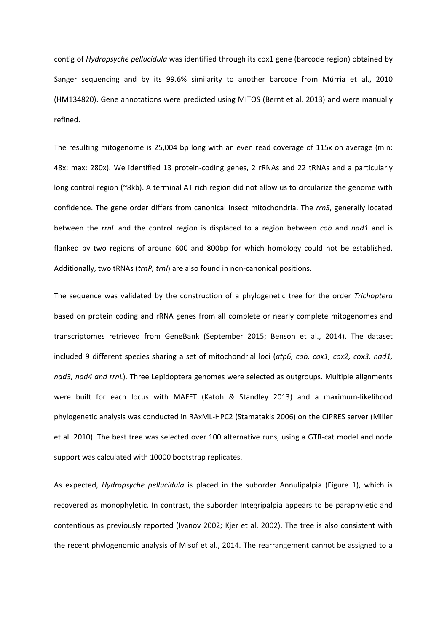contig of *Hydropsyche pellucidula* was identified through its cox1 gene (barcode region) obtained by Sanger sequencing and by its 99.6% similarity to another barcode from Múrria et al., 2010 (HM134820). Gene annotations were predicted using MITOS (Bernt et al. 2013) and were manually refined.

The resulting mitogenome is 25,004 bp long with an even read coverage of 115x on average (min: 48x; max: 280x). We identified 13 protein-coding genes, 2 rRNAs and 22 tRNAs and a particularly long control region (~8kb). A terminal AT rich region did not allow us to circularize the genome with confidence. The gene order differs from canonical insect mitochondria. The *rrnS*, generally located between the *rrnL* and the control region is displaced to a region between *cob* and *nad1* and is flanked by two regions of around 600 and 800bp for which homology could not be established. Additionally, two tRNAs (*trnP, trnI*) are also found in non-canonical positions.

The sequence was validated by the construction of a phylogenetic tree for the order *Trichoptera* based on protein coding and rRNA genes from all complete or nearly complete mitogenomes and transcriptomes retrieved from GeneBank (September 2015; Benson et al., 2014). The dataset included 9 different species sharing a set of mitochondrial loci (*atp6, cob, cox1, cox2, cox3, nad1, nad3, nad4 and rrnL*). Three Lepidoptera genomes were selected as outgroups. Multiple alignments were built for each locus with MAFFT (Katoh & Standley 2013) and a maximum-likelihood phylogenetic analysis was conducted in RAxML-HPC2 (Stamatakis 2006) on the CIPRES server (Miller et al. 2010). The best tree was selected over 100 alternative runs, using a GTR-cat model and node support was calculated with 10000 bootstrap replicates.

As expected, *Hydropsyche pellucidula* is placed in the suborder Annulipalpia (Figure 1), which is recovered as monophyletic. In contrast, the suborder Integripalpia appears to be paraphyletic and contentious as previously reported (Ivanov 2002; Kjer et al. 2002). The tree is also consistent with the recent phylogenomic analysis of Misof et al., 2014. The rearrangement cannot be assigned to a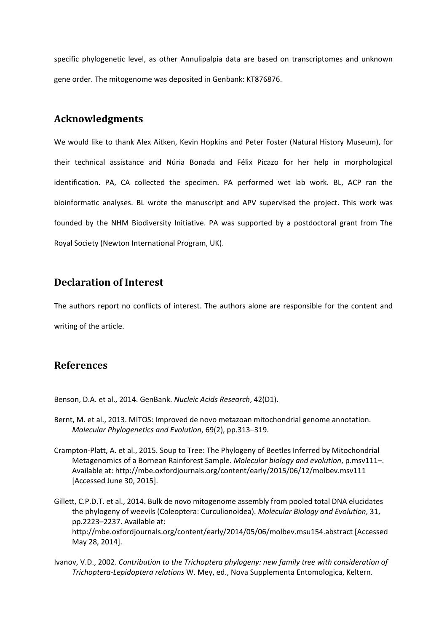specific phylogenetic level, as other Annulipalpia data are based on transcriptomes and unknown gene order. The mitogenome was deposited in Genbank: KT876876.

#### **Acknowledgments**

We would like to thank Alex Aitken, Kevin Hopkins and Peter Foster (Natural History Museum), for their technical assistance and Núria Bonada and Félix Picazo for her help in morphological identification. PA, CA collected the specimen. PA performed wet lab work. BL, ACP ran the bioinformatic analyses. BL wrote the manuscript and APV supervised the project. This work was founded by the NHM Biodiversity Initiative. PA was supported by a postdoctoral grant from The Royal Society (Newton International Program, UK).

#### **Declaration of Interest**

The authors report no conflicts of interest. The authors alone are responsible for the content and writing of the article.

#### **References**

Benson, D.A. et al., 2014. GenBank. *Nucleic Acids Research*, 42(D1).

- Bernt, M. et al., 2013. MITOS: Improved de novo metazoan mitochondrial genome annotation. *Molecular Phylogenetics and Evolution*, 69(2), pp.313–319.
- Crampton-Platt, A. et al., 2015. Soup to Tree: The Phylogeny of Beetles Inferred by Mitochondrial Metagenomics of a Bornean Rainforest Sample. *Molecular biology and evolution*, p.msv111–. Available at: http://mbe.oxfordjournals.org/content/early/2015/06/12/molbev.msv111 [Accessed June 30, 2015].
- Gillett, C.P.D.T. et al., 2014. Bulk de novo mitogenome assembly from pooled total DNA elucidates the phylogeny of weevils (Coleoptera: Curculionoidea). *Molecular Biology and Evolution*, 31, pp.2223–2237. Available at: http://mbe.oxfordjournals.org/content/early/2014/05/06/molbev.msu154.abstract [Accessed May 28, 2014].
- Ivanov, V.D., 2002. *Contribution to the Trichoptera phylogeny: new family tree with consideration of Trichoptera-Lepidoptera relations* W. Mey, ed., Nova Supplementa Entomologica, Keltern.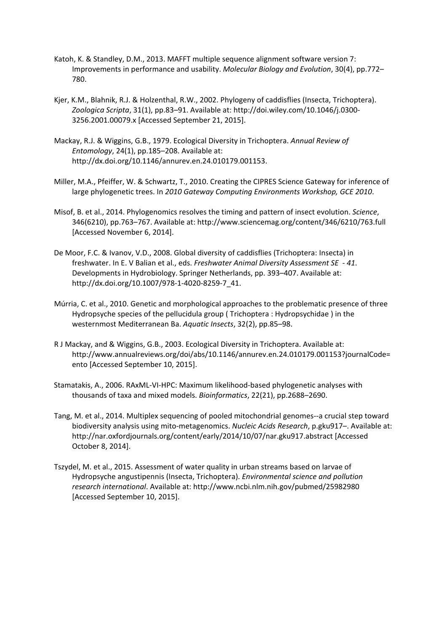- Katoh, K. & Standley, D.M., 2013. MAFFT multiple sequence alignment software version 7: Improvements in performance and usability. *Molecular Biology and Evolution*, 30(4), pp.772– 780.
- Kjer, K.M., Blahnik, R.J. & Holzenthal, R.W., 2002. Phylogeny of caddisflies (Insecta, Trichoptera). *Zoologica Scripta*, 31(1), pp.83–91. Available at: http://doi.wiley.com/10.1046/j.0300- 3256.2001.00079.x [Accessed September 21, 2015].
- Mackay, R.J. & Wiggins, G.B., 1979. Ecological Diversity in Trichoptera. *Annual Review of Entomology*, 24(1), pp.185–208. Available at: http://dx.doi.org/10.1146/annurev.en.24.010179.001153.
- Miller, M.A., Pfeiffer, W. & Schwartz, T., 2010. Creating the CIPRES Science Gateway for inference of large phylogenetic trees. In *2010 Gateway Computing Environments Workshop, GCE 2010*.
- Misof, B. et al., 2014. Phylogenomics resolves the timing and pattern of insect evolution. *Science*, 346(6210), pp.763–767. Available at: http://www.sciencemag.org/content/346/6210/763.full [Accessed November 6, 2014].
- De Moor, F.C. & Ivanov, V.D., 2008. Global diversity of caddisflies (Trichoptera: Insecta) in freshwater. In E. V Balian et al., eds. *Freshwater Animal Diversity Assessment SE - 41*. Developments in Hydrobiology. Springer Netherlands, pp. 393–407. Available at: http://dx.doi.org/10.1007/978-1-4020-8259-7\_41.
- Múrria, C. et al., 2010. Genetic and morphological approaches to the problematic presence of three Hydropsyche species of the pellucidula group ( Trichoptera : Hydropsychidae ) in the westernmost Mediterranean Ba. *Aquatic Insects*, 32(2), pp.85–98.
- R J Mackay, and & Wiggins, G.B., 2003. Ecological Diversity in Trichoptera. Available at: http://www.annualreviews.org/doi/abs/10.1146/annurev.en.24.010179.001153?journalCode= ento [Accessed September 10, 2015].
- Stamatakis, A., 2006. RAxML-VI-HPC: Maximum likelihood-based phylogenetic analyses with thousands of taxa and mixed models. *Bioinformatics*, 22(21), pp.2688–2690.
- Tang, M. et al., 2014. Multiplex sequencing of pooled mitochondrial genomes--a crucial step toward biodiversity analysis using mito-metagenomics. *Nucleic Acids Research*, p.gku917–. Available at: http://nar.oxfordjournals.org/content/early/2014/10/07/nar.gku917.abstract [Accessed October 8, 2014].
- Tszydel, M. et al., 2015. Assessment of water quality in urban streams based on larvae of Hydropsyche angustipennis (Insecta, Trichoptera). *Environmental science and pollution research international*. Available at: http://www.ncbi.nlm.nih.gov/pubmed/25982980 [Accessed September 10, 2015].